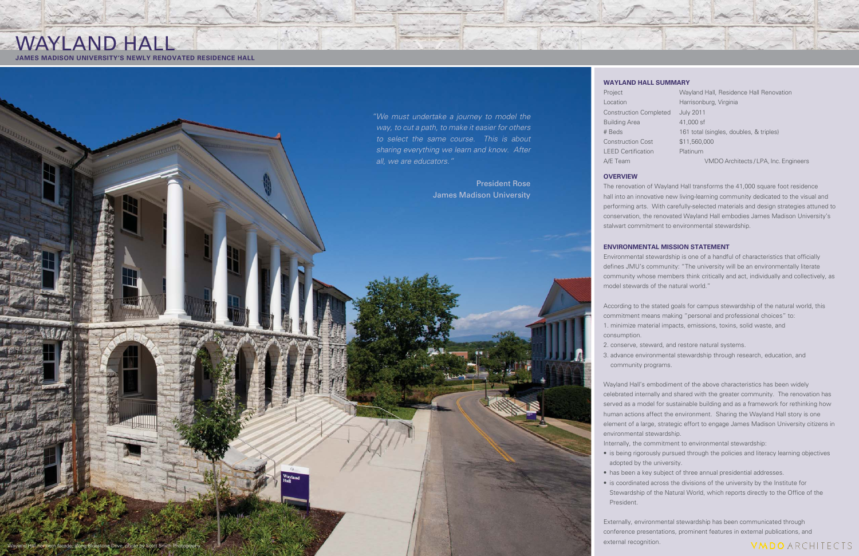# WAYLAND HALL

**JAMES MADISON UNIVERSITY'S NEWLY RENOVATED RESIDENCE HALL**

### **OVERVIEW**

The renovation of Wayland Hall transforms the 41,000 square foot residence hall into an innovative new living-learning community dedicated to the visual and performing arts. With carefully-selected materials and design strategies attuned to conservation, the renovated Wayland Hall embodies James Madison University's stalwart commitment to environmental stewardship.

Environmental stewardship is one of a handful of characteristics that officially defines JMU's community: "The university will be an environmentally literate community whose members think critically and act, individually and collectively, as model stewards of the natural world."

### **ENVIRONMENTAL MISSION STATEMENT**

According to the stated goals for campus stewardship of the natural world, this commitment means making "personal and professional choices" to: 1. minimize material impacts, emissions, toxins, solid waste, and

Externally, environmental stewardship has been communicated through conference presentations, prominent features in external publications, and facade, along Bluestone Drive, photo by Scott Smith Photography



consumption.

2. conserve, steward, and restore natural systems.

3. advance environmental stewardship through research, education, and community programs.

Wayland Hall's embodiment of the above characteristics has been widely celebrated internally and shared with the greater community. The renovation has served as a model for sustainable building and as a framework for rethinking how human actions affect the environment. Sharing the Wayland Hall story is one element of a large, strategic effort to engage James Madison University citizens in environmental stewardship.

Internally, the commitment to environmental stewardship:

• is being rigorously pursued through the policies and literacy learning objectives adopted by the university.

• has been a key subject of three annual presidential addresses.

• is coordinated across the divisions of the university by the Institute for

Stewardship of the Natural World, which reports directly to the Office of the

## **VMDO** ARCHITECTS

- 
- President.

*" We must undertake a journey to model the way, to cut a path, to make it easier for others to select the same course. This is about sharing everything we learn and know. After all, we are educators."* 

> President RoseJames Madison University

### **WAYLAND HALL SUMMARY**

| Project                       | Wayland Hall, Residence Hall Renovation |
|-------------------------------|-----------------------------------------|
| Location                      | Harrisonburg, Virginia                  |
| <b>Construction Completed</b> | <b>July 2011</b>                        |
| <b>Building Area</b>          | 41,000 sf                               |
| # Beds                        | 161 total (singles, doubles, & triples) |
| <b>Construction Cost</b>      | \$11,560,000                            |
| <b>LEED Certification</b>     | Platinum                                |
| A/E Team                      | VMDO Architects / LPA, Inc. Engineers   |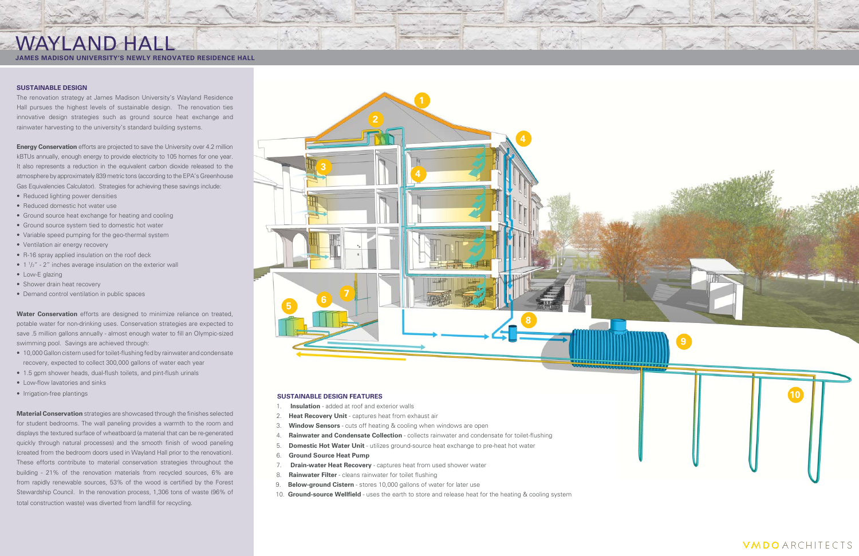### **SUSTAINABLE DESIGN**

The renovation strategy at James Madison University's Wayland Residence Hall pursues the highest levels of sustainable design. The renovation ties innovative design strategies such as ground source heat exchange and rainwater harvesting to the university's standard building systems.

**Energy Conservation** efforts are projected to save the University over 4.2 million kBTUs annually, enough energy to provide electricity to 105 homes for one year. It also represents a reduction in the equivalent carbon dioxide released to the atmosphere by approximately 839 metric tons (according to the EPA's Greenhouse Gas Equivalencies Calculator). Strategies for achieving these savings include:

- 10,000 Gallon cistern used for toilet-flushing fed by rainwater and condensate recovery, expected to collect 300,000 gallons of water each year
- 1.5 gpm shower heads, dual-flush toilets, and pint-flush urinals
- Low-flow lavatories and sinks
- Irrigation-free plantings

**Material Conservation** strategies are showcased through the finishes selected for student bedrooms. The wall paneling provides a warmth to the room and displays the textured surface of wheatboard (a material that can be re-generated quickly through natural processes) and the smooth finish of wood paneling (created from the bedroom doors used in Wayland Hall prior to the renovation). These efforts contribute to material conservation strategies throughout the building - 21% of the renovation materials from recycled sources, 6% are from rapidly renewable sources, 53% of the wood is certified by the Forest Stewardship Council. In the renovation process, 1,306 tons of waste (96% of total construction waste) was diverted from landfill for recycling.

- Reduced lighting power densities
- Reduced domestic hot water use
- Ground source heat exchange for heating and cooling
- Ground source system tied to domestic hot water
- Variable speed pumping for the geo-thermal system
- Ventilation air energy recovery
- R-16 spray applied insulation on the roof deck
- $\bullet$  1  $\frac{1}{2}$ " 2" inches average insulation on the exterior wall
- Low-E glazing
- Shower drain heat recovery
- Demand control ventilation in public spaces

**Water Conservation** efforts are designed to minimize reliance on treated, potable water for non-drinking uses. Conservation strategies are expected to save .5 million gallons annually - almost enough water to fill an Olympic-sized swimming pool. Savings are achieved through:

- 1. **Insulation** added at roof and exterior walls
- 2. **Heat Recovery Unit** captures heat from exhaust air
- 3. **Window Sensors** cuts off heating & cooling when windows are open
- 4. **Rainwater and Condensate Collection** collects rainwater and condensate for toilet-flushing
- 5. **Domestic Hot Water Unit** utilizes ground-source heat exchange to pre-heat hot water
- 6. **Ground Source Heat Pump**
- 7. **Drain-water Heat Recovery** captures heat from used shower water
- 8. **Rainwater Filter** cleans rainwater for toilet flushing
- 9. **Below-ground Cistern**  stores 10,000 gallons of water for later use
- 10. **Ground-source Wellfield** uses the earth to store and release heat for the heating & cooling system



## WAYLAND HALL

**JAMES MADISON UNIVERSITY'S NEWLY RENOVATED RESIDENCE HALL**





**VMDO** ARCHITECTS

### **SUSTAINABLE DESIGN FEATURES**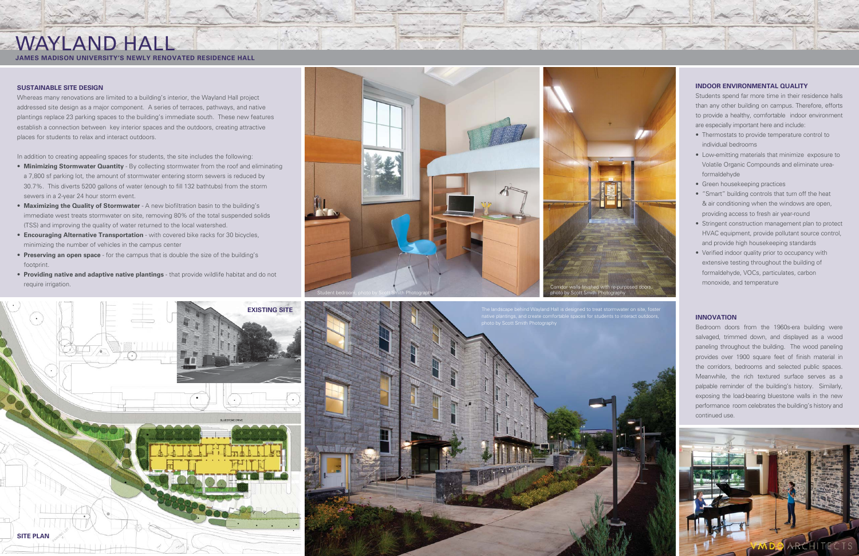### **SUSTAINABLE SITE DESIGN**

Whereas many renovations are limited to a building's interior, the Wayland Hall project addressed site design as a major component. A series of terraces, pathways, and native plantings replace 23 parking spaces to the building's immediate south. These new features establish a connection between key interior spaces and the outdoors, creating attractive places for students to relax and interact outdoors.

In addition to creating appealing spaces for students, the site includes the following:

- **Minimizing Stormwater Quantity** By collecting stormwater from the roof and eliminating a 7,800 sf parking lot, the amount of stormwater entering storm sewers is reduced by 30.7%. This diverts 5200 gallons of water (enough to fill 132 bathtubs) from the storm sewers in a 2-year 24 hour storm event.
- **Maximizing the Quality of Stormwater** A new biofiltration basin to the building's immediate west treats stormwater on site, removing 80% of the total suspended solids (TSS) and improving the quality of water returned to the local watershed.
- **Encouraging Alternative Transportation** with covered bike racks for 30 bicycles, minimizing the number of vehicles in the campus center
- **Preserving an open space** for the campus that is double the size of the building's footprint.
- **Providing native and adaptive native plantings** that provide wildlife habitat and do not require irrigation.

# WAYLAND HALL



### **JAMES MADISON UNIVERSITY'S NEWLY RENOVATED RESIDENCE HALL**





### **INDOOR ENVIRONMENTAL QUALITY**

Students spend far more time in their residence halls than any other building on campus. Therefore, efforts to provide a healthy, comfortable indoor environment are especially important here and include:

- Thermostats to provide temperature control to individual bedrooms
- Low-emitting materials that minimize exposure to Volatile Organic Compounds and eliminate ureaformaldehyde
- Green housekeeping practices
- "Smart" building controls that turn off the heat & air conditioning when the windows are open, providing access to fresh air year-round
- Stringent construction management plan to protect HVAC equipment, provide pollutant source control, and provide high housekeeping standards
- Verified indoor quality prior to occupancy with extensive testing throughout the building of formaldehyde, VOCs, particulates, carbon monoxide, and temperature